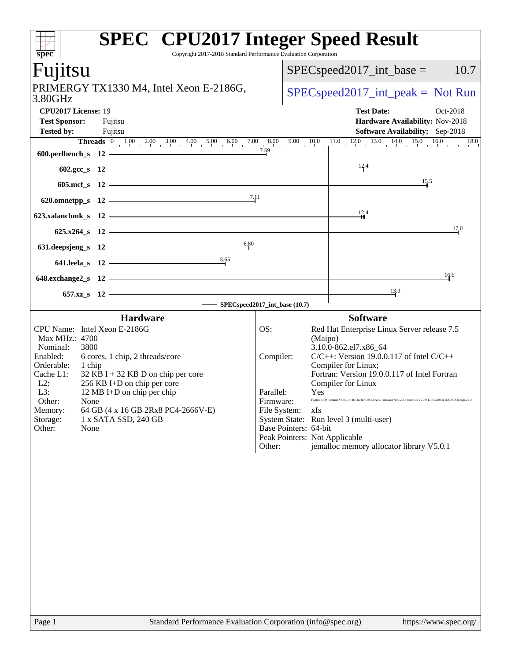| $\overline{\text{spec}^*}$                                                                                                                                                                   | <b>SPEC<sup>®</sup></b> CPU2017 Integer Speed Result<br>Copyright 2017-2018 Standard Performance Evaluation Corporation                                                                                               |                                                                                                                                |                                                                                                                                                                                                                                                                                                                                                                                                                                                                                         |
|----------------------------------------------------------------------------------------------------------------------------------------------------------------------------------------------|-----------------------------------------------------------------------------------------------------------------------------------------------------------------------------------------------------------------------|--------------------------------------------------------------------------------------------------------------------------------|-----------------------------------------------------------------------------------------------------------------------------------------------------------------------------------------------------------------------------------------------------------------------------------------------------------------------------------------------------------------------------------------------------------------------------------------------------------------------------------------|
| Fujitsu                                                                                                                                                                                      |                                                                                                                                                                                                                       |                                                                                                                                | $SPEC speed2017\_int\_base =$<br>10.7                                                                                                                                                                                                                                                                                                                                                                                                                                                   |
| 3.80GHz                                                                                                                                                                                      | PRIMERGY TX1330 M4, Intel Xeon E-2186G,                                                                                                                                                                               |                                                                                                                                | $SPEC speed2017\_int\_peak = Not Run$                                                                                                                                                                                                                                                                                                                                                                                                                                                   |
| CPU2017 License: 19<br><b>Test Sponsor:</b><br><b>Tested by:</b>                                                                                                                             | Fujitsu<br>Fujitsu                                                                                                                                                                                                    |                                                                                                                                | <b>Test Date:</b><br>Oct-2018<br>Hardware Availability: Nov-2018<br><b>Software Availability:</b> Sep-2018<br>Threads 0 1.00 2.00 3.00 4.00 5.00 6.00 7.00 8.00 9.00 10.0 11.0 12.0 13.0 14.0 15.0 16.0 18.0 600. perlbench s 12                                                                                                                                                                                                                                                        |
| $602.\text{sec}\_\text{S}$ 12                                                                                                                                                                |                                                                                                                                                                                                                       |                                                                                                                                | 12.4                                                                                                                                                                                                                                                                                                                                                                                                                                                                                    |
| 605.mcf $s$ 12                                                                                                                                                                               | <u> 1989 - Johann Stoff, deutscher Stoffen und der Stoffen und der Stoffen und der Stoffen und der Stoffen und der</u>                                                                                                |                                                                                                                                | $\frac{15.5}{2}$                                                                                                                                                                                                                                                                                                                                                                                                                                                                        |
| 620.omnetpp_s $12$                                                                                                                                                                           | 7.11<br><u> 1980 - Johann Barn, mars ann an t-Amhain Aonaich an t-Aonaich an t-Aonaich ann an t-Aonaich ann an t-Aonaich</u>                                                                                          |                                                                                                                                | 12.4                                                                                                                                                                                                                                                                                                                                                                                                                                                                                    |
| 623.xalancbmk_s 12 $\vert$<br>$625.x264_s$ 12                                                                                                                                                |                                                                                                                                                                                                                       |                                                                                                                                | 17.0                                                                                                                                                                                                                                                                                                                                                                                                                                                                                    |
| 631. deepsjeng_s 12 $\vert$                                                                                                                                                                  | 6.80<br><u> 1989 - Johann Barn, mars eta bainar e</u>                                                                                                                                                                 |                                                                                                                                |                                                                                                                                                                                                                                                                                                                                                                                                                                                                                         |
| 641.leela_s $12$ $\vdash$                                                                                                                                                                    | 5.65                                                                                                                                                                                                                  |                                                                                                                                |                                                                                                                                                                                                                                                                                                                                                                                                                                                                                         |
| 648.exchange $2_s$ 12<br>$657.xz$ <sub>8</sub> 12                                                                                                                                            | <u> 1989 - Johann Barn, mars ann an t-Amhain an t-Amhain an t-Amhain an t-Amhain an t-Amhain an t-Amhain an t-Amh</u>                                                                                                 |                                                                                                                                | 16.6<br>13.9                                                                                                                                                                                                                                                                                                                                                                                                                                                                            |
|                                                                                                                                                                                              | SPECspeed2017_int_base (10.7)                                                                                                                                                                                         |                                                                                                                                |                                                                                                                                                                                                                                                                                                                                                                                                                                                                                         |
| CPU Name: Intel Xeon E-2186G<br>Max MHz.: 4700<br>3800<br>Nominal:<br>Enabled:<br>Orderable:<br>1 chip<br>Cache L1:<br>L2:<br>L3:<br>Other:<br>None<br>Memory:<br>Storage:<br>Other:<br>None | <b>Hardware</b><br>6 cores, 1 chip, 2 threads/core<br>$32$ KB I + 32 KB D on chip per core<br>256 KB I+D on chip per core<br>12 MB I+D on chip per chip<br>64 GB (4 x 16 GB 2Rx8 PC4-2666V-E)<br>1 x SATA SSD, 240 GB | OS:<br>Compiler:<br>Parallel:<br>Firmware:<br>File System:<br>Base Pointers: 64-bit<br>Peak Pointers: Not Applicable<br>Other: | <b>Software</b><br>Red Hat Enterprise Linux Server release 7.5<br>(Maipo)<br>3.10.0-862.el7.x86_64<br>$C/C++$ : Version 19.0.0.117 of Intel $C/C++$<br>Compiler for Linux;<br>Fortran: Version 19.0.0.117 of Intel Fortran<br>Compiler for Linux<br><b>Yes</b><br>Fujitsu BIOS Version V5.0.0.13 R1.4.0 for D3673-A1x. Released Nov-2018 tested as V5.0.0.13 R1.0.0 for D3673-A1x Sep-2018<br>xfs<br>System State: Run level 3 (multi-user)<br>jemalloc memory allocator library V5.0.1 |
| Page 1                                                                                                                                                                                       | Standard Performance Evaluation Corporation (info@spec.org)                                                                                                                                                           |                                                                                                                                | https://www.spec.org/                                                                                                                                                                                                                                                                                                                                                                                                                                                                   |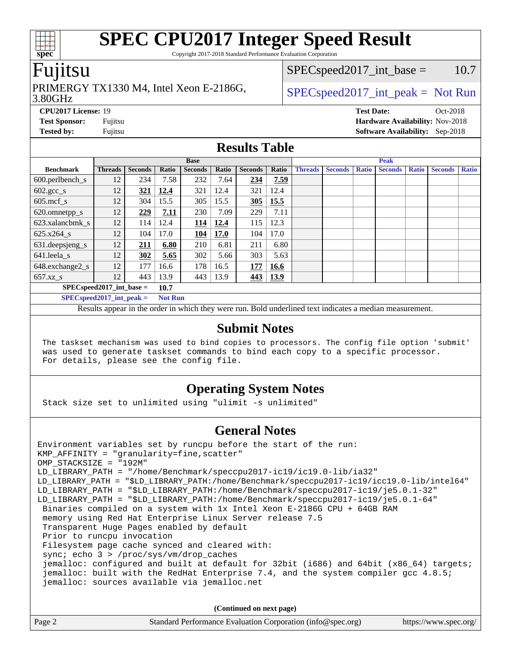Copyright 2017-2018 Standard Performance Evaluation Corporation

#### Fujitsu

### PRIMERGY TX1330 M4, Intel Xeon E-2186G,  $\vert$  [SPECspeed2017\\_int\\_peak =](http://www.spec.org/auto/cpu2017/Docs/result-fields.html#SPECspeed2017intpeak) Not Run

 $SPEC speed2017\_int\_base = 10.7$ 

#### 3.80GHz

**[Tested by:](http://www.spec.org/auto/cpu2017/Docs/result-fields.html#Testedby)** Fujitsu **[Software Availability:](http://www.spec.org/auto/cpu2017/Docs/result-fields.html#SoftwareAvailability)** Sep-2018

**[CPU2017 License:](http://www.spec.org/auto/cpu2017/Docs/result-fields.html#CPU2017License)** 19 **[Test Date:](http://www.spec.org/auto/cpu2017/Docs/result-fields.html#TestDate)** Oct-2018 **[Test Sponsor:](http://www.spec.org/auto/cpu2017/Docs/result-fields.html#TestSponsor)** Fujitsu **[Hardware Availability:](http://www.spec.org/auto/cpu2017/Docs/result-fields.html#HardwareAvailability)** Nov-2018

#### **[Results Table](http://www.spec.org/auto/cpu2017/Docs/result-fields.html#ResultsTable)**

|                                      | <b>Base</b>                |                |       |                |       | <b>Peak</b>    |       |                |                |              |                |              |                |              |
|--------------------------------------|----------------------------|----------------|-------|----------------|-------|----------------|-------|----------------|----------------|--------------|----------------|--------------|----------------|--------------|
| <b>Benchmark</b>                     | <b>Threads</b>             | <b>Seconds</b> | Ratio | <b>Seconds</b> | Ratio | <b>Seconds</b> | Ratio | <b>Threads</b> | <b>Seconds</b> | <b>Ratio</b> | <b>Seconds</b> | <b>Ratio</b> | <b>Seconds</b> | <b>Ratio</b> |
| $600.$ perlbench $\mathsf{S}$        | 12                         | 234            | 7.58  | 232            | 7.64  | 234            | 7.59  |                |                |              |                |              |                |              |
| $602 \text{.} \text{gcc}\text{_<}$ s | 12                         | 321            | 12.4  | 321            | 12.4  | 321            | 12.4  |                |                |              |                |              |                |              |
| $605$ .mcf s                         | 12                         | 304            | 15.5  | 305            | 15.5  | 305            | 15.5  |                |                |              |                |              |                |              |
| 620.omnetpp_s                        | 12                         | 229            | 7.11  | 230            | 7.09  | 229            | 7.11  |                |                |              |                |              |                |              |
| 623.xalancbmk s                      | 12                         | 114            | 12.4  | 114            | 12.4  | 115            | 12.3  |                |                |              |                |              |                |              |
| 625.x264 s                           | 12                         | 104            | 17.0  | 104            | 17.0  | 104            | 17.0  |                |                |              |                |              |                |              |
| 631.deepsjeng_s                      | 12                         | 211            | 6.80  | 210            | 6.81  | 211            | 6.80  |                |                |              |                |              |                |              |
| 641.leela s                          | 12                         | 302            | 5.65  | 302            | 5.66  | 303            | 5.63  |                |                |              |                |              |                |              |
| 648.exchange2_s                      | 12                         | 177            | 16.6  | 178            | 16.5  | 177            | 16.6  |                |                |              |                |              |                |              |
| $657.xz$ s                           | 12                         | 443            | 13.9  | 443            | 13.9  | 443            | 13.9  |                |                |              |                |              |                |              |
|                                      | $SPECspeed2017$ int base = |                |       |                |       |                |       |                |                |              |                |              |                |              |

**[SPECspeed2017\\_int\\_peak =](http://www.spec.org/auto/cpu2017/Docs/result-fields.html#SPECspeed2017intpeak) Not Run**

Results appear in the [order in which they were run.](http://www.spec.org/auto/cpu2017/Docs/result-fields.html#RunOrder) Bold underlined text [indicates a median measurement.](http://www.spec.org/auto/cpu2017/Docs/result-fields.html#Median)

#### **[Submit Notes](http://www.spec.org/auto/cpu2017/Docs/result-fields.html#SubmitNotes)**

 The taskset mechanism was used to bind copies to processors. The config file option 'submit' was used to generate taskset commands to bind each copy to a specific processor. For details, please see the config file.

#### **[Operating System Notes](http://www.spec.org/auto/cpu2017/Docs/result-fields.html#OperatingSystemNotes)**

Stack size set to unlimited using "ulimit -s unlimited"

#### **[General Notes](http://www.spec.org/auto/cpu2017/Docs/result-fields.html#GeneralNotes)**

Environment variables set by runcpu before the start of the run: KMP\_AFFINITY = "granularity=fine,scatter" OMP\_STACKSIZE = "192M" LD\_LIBRARY\_PATH = "/home/Benchmark/speccpu2017-ic19/ic19.0-lib/ia32" LD\_LIBRARY\_PATH = "\$LD\_LIBRARY\_PATH:/home/Benchmark/speccpu2017-ic19/icc19.0-lib/intel64" LD\_LIBRARY\_PATH = "\$LD\_LIBRARY\_PATH:/home/Benchmark/speccpu2017-ic19/je5.0.1-32" LD\_LIBRARY\_PATH = "\$LD\_LIBRARY\_PATH:/home/Benchmark/speccpu2017-ic19/je5.0.1-64" Binaries compiled on a system with 1x Intel Xeon E-2186G CPU + 64GB RAM memory using Red Hat Enterprise Linux Server release 7.5 Transparent Huge Pages enabled by default Prior to runcpu invocation Filesystem page cache synced and cleared with: sync; echo 3 > /proc/sys/vm/drop\_caches jemalloc: configured and built at default for 32bit (i686) and 64bit (x86\_64) targets; jemalloc: built with the RedHat Enterprise 7.4, and the system compiler gcc 4.8.5; jemalloc: sources available via jemalloc.net

**(Continued on next page)**

| Page 2 | Standard Performance Evaluation Corporation (info@spec.org) | https://www.spec.org/ |
|--------|-------------------------------------------------------------|-----------------------|

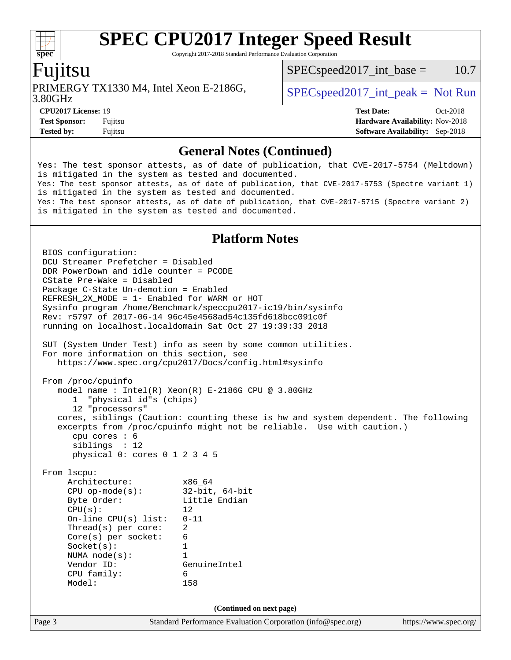Copyright 2017-2018 Standard Performance Evaluation Corporation

#### Fujitsu

**[spec](http://www.spec.org/)**

dd h

PRIMERGY TX1330 M4, Intel Xeon E-2186G,  $\vert$  [SPECspeed2017\\_int\\_peak =](http://www.spec.org/auto/cpu2017/Docs/result-fields.html#SPECspeed2017intpeak) Not Run

 $SPEC speed2017\_int\_base = 10.7$ 

3.80GHz

**[CPU2017 License:](http://www.spec.org/auto/cpu2017/Docs/result-fields.html#CPU2017License)** 19 **[Test Date:](http://www.spec.org/auto/cpu2017/Docs/result-fields.html#TestDate)** Oct-2018 **[Test Sponsor:](http://www.spec.org/auto/cpu2017/Docs/result-fields.html#TestSponsor)** Fujitsu **[Hardware Availability:](http://www.spec.org/auto/cpu2017/Docs/result-fields.html#HardwareAvailability)** Nov-2018 **[Tested by:](http://www.spec.org/auto/cpu2017/Docs/result-fields.html#Testedby)** Fujitsu **[Software Availability:](http://www.spec.org/auto/cpu2017/Docs/result-fields.html#SoftwareAvailability)** Sep-2018

#### **[General Notes \(Continued\)](http://www.spec.org/auto/cpu2017/Docs/result-fields.html#GeneralNotes)**

Yes: The test sponsor attests, as of date of publication, that CVE-2017-5754 (Meltdown) is mitigated in the system as tested and documented. Yes: The test sponsor attests, as of date of publication, that CVE-2017-5753 (Spectre variant 1) is mitigated in the system as tested and documented. Yes: The test sponsor attests, as of date of publication, that CVE-2017-5715 (Spectre variant 2) is mitigated in the system as tested and documented.

#### **[Platform Notes](http://www.spec.org/auto/cpu2017/Docs/result-fields.html#PlatformNotes)**

Page 3 Standard Performance Evaluation Corporation [\(info@spec.org\)](mailto:info@spec.org) <https://www.spec.org/> BIOS configuration: DCU Streamer Prefetcher = Disabled DDR PowerDown and idle counter = PCODE CState Pre-Wake = Disabled Package C-State Un-demotion = Enabled REFRESH\_2X\_MODE = 1- Enabled for WARM or HOT Sysinfo program /home/Benchmark/speccpu2017-ic19/bin/sysinfo Rev: r5797 of 2017-06-14 96c45e4568ad54c135fd618bcc091c0f running on localhost.localdomain Sat Oct 27 19:39:33 2018 SUT (System Under Test) info as seen by some common utilities. For more information on this section, see <https://www.spec.org/cpu2017/Docs/config.html#sysinfo> From /proc/cpuinfo model name : Intel(R) Xeon(R) E-2186G CPU @ 3.80GHz 1 "physical id"s (chips) 12 "processors" cores, siblings (Caution: counting these is hw and system dependent. The following excerpts from /proc/cpuinfo might not be reliable. Use with caution.) cpu cores : 6 siblings : 12 physical 0: cores 0 1 2 3 4 5 From lscpu: Architecture: x86\_64 CPU op-mode(s): 32-bit, 64-bit Byte Order: Little Endian  $CPU(s):$  12 On-line CPU(s) list: 0-11 Thread(s) per core: 2 Core(s) per socket: 6 Socket(s): 1 NUMA node(s): 1 Vendor ID: GenuineIntel CPU family: 6 Model: 158 **(Continued on next page)**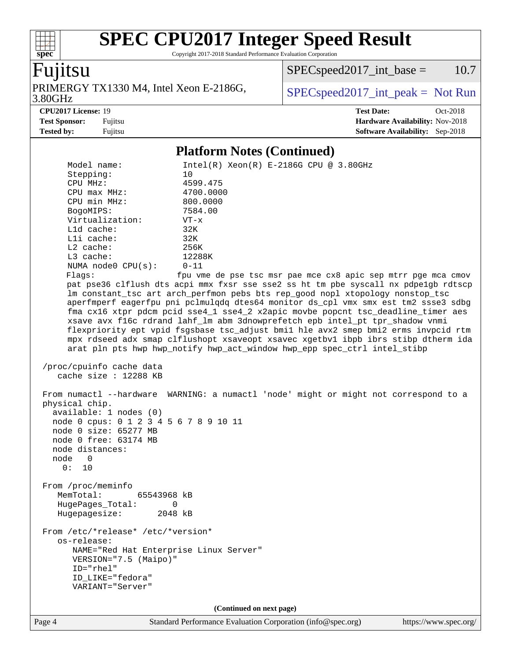Copyright 2017-2018 Standard Performance Evaluation Corporation

## Fujitsu

**[spec](http://www.spec.org/)**

 $+\!\!+\!\!$ 

3.80GHz PRIMERGY TX1330 M4, Intel Xeon E-2186G,  $SPEC speed2017\_int\_peak = Not Run$ 

 $SPECspeed2017\_int\_base = 10.7$ 

**[CPU2017 License:](http://www.spec.org/auto/cpu2017/Docs/result-fields.html#CPU2017License)** 19 **[Test Date:](http://www.spec.org/auto/cpu2017/Docs/result-fields.html#TestDate)** Oct-2018 **[Test Sponsor:](http://www.spec.org/auto/cpu2017/Docs/result-fields.html#TestSponsor)** Fujitsu **[Hardware Availability:](http://www.spec.org/auto/cpu2017/Docs/result-fields.html#HardwareAvailability)** Nov-2018 **[Tested by:](http://www.spec.org/auto/cpu2017/Docs/result-fields.html#Testedby)** Fujitsu **[Software Availability:](http://www.spec.org/auto/cpu2017/Docs/result-fields.html#SoftwareAvailability)** Sep-2018

#### **[Platform Notes \(Continued\)](http://www.spec.org/auto/cpu2017/Docs/result-fields.html#PlatformNotes)**

| Model name:<br>Stepping:<br>CPU MHz:<br>$CPU$ $max$ $MHz$ :<br>CPU min MHz:<br>BogoMIPS:<br>Virtualization:<br>L1d cache:<br>Lli cache:<br>L2 cache:<br>L3 cache:<br>NUMA node0 CPU(s):<br>Flags: | $Intel(R) Xeon(R) E-2186G CPU @ 3.80GHz$<br>10<br>4599.475<br>4700.0000<br>800.0000<br>7584.00<br>$VT - x$<br>32K<br>32K<br>256K<br>12288K<br>$0 - 11$<br>fpu vme de pse tsc msr pae mce cx8 apic sep mtrr pge mca cmov<br>pat pse36 clflush dts acpi mmx fxsr sse sse2 ss ht tm pbe syscall nx pdpelgb rdtscp<br>lm constant_tsc art arch_perfmon pebs bts rep_good nopl xtopology nonstop_tsc<br>aperfmperf eagerfpu pni pclmulqdq dtes64 monitor ds_cpl vmx smx est tm2 ssse3 sdbg<br>fma cx16 xtpr pdcm pcid sse4_1 sse4_2 x2apic movbe popcnt tsc_deadline_timer aes<br>xsave avx f16c rdrand lahf_lm abm 3dnowprefetch epb intel_pt tpr_shadow vnmi<br>flexpriority ept vpid fsgsbase tsc_adjust bmil hle avx2 smep bmi2 erms invpcid rtm<br>mpx rdseed adx smap clflushopt xsaveopt xsavec xgetbvl ibpb ibrs stibp dtherm ida<br>arat pln pts hwp hwp_notify hwp_act_window hwp_epp spec_ctrl intel_stibp |
|---------------------------------------------------------------------------------------------------------------------------------------------------------------------------------------------------|------------------------------------------------------------------------------------------------------------------------------------------------------------------------------------------------------------------------------------------------------------------------------------------------------------------------------------------------------------------------------------------------------------------------------------------------------------------------------------------------------------------------------------------------------------------------------------------------------------------------------------------------------------------------------------------------------------------------------------------------------------------------------------------------------------------------------------------------------------------------------------------------------------------|
| /proc/cpuinfo cache data                                                                                                                                                                          |                                                                                                                                                                                                                                                                                                                                                                                                                                                                                                                                                                                                                                                                                                                                                                                                                                                                                                                  |
| cache size : 12288 KB                                                                                                                                                                             |                                                                                                                                                                                                                                                                                                                                                                                                                                                                                                                                                                                                                                                                                                                                                                                                                                                                                                                  |
| physical chip.<br>available: 1 nodes (0)<br>node 0 cpus: 0 1 2 3 4 5 6 7 8 9 10 11<br>node 0 size: 65277 MB<br>node 0 free: 63174 MB<br>node distances:<br>node 0<br>0: 10                        | From numactl --hardware WARNING: a numactl 'node' might or might not correspond to a                                                                                                                                                                                                                                                                                                                                                                                                                                                                                                                                                                                                                                                                                                                                                                                                                             |
| From /proc/meminfo<br>MemTotal:<br>65543968 kB<br>HugePages_Total:<br>0<br>Hugepagesize:<br>2048 kB                                                                                               |                                                                                                                                                                                                                                                                                                                                                                                                                                                                                                                                                                                                                                                                                                                                                                                                                                                                                                                  |
| From /etc/*release* /etc/*version*<br>os-release:<br>NAME="Red Hat Enterprise Linux Server"<br>VERSION="7.5 (Maipo)"<br>ID="rhel"<br>ID_LIKE="fedora"<br>VARIANT="Server"                         |                                                                                                                                                                                                                                                                                                                                                                                                                                                                                                                                                                                                                                                                                                                                                                                                                                                                                                                  |
|                                                                                                                                                                                                   | (Continued on next page)                                                                                                                                                                                                                                                                                                                                                                                                                                                                                                                                                                                                                                                                                                                                                                                                                                                                                         |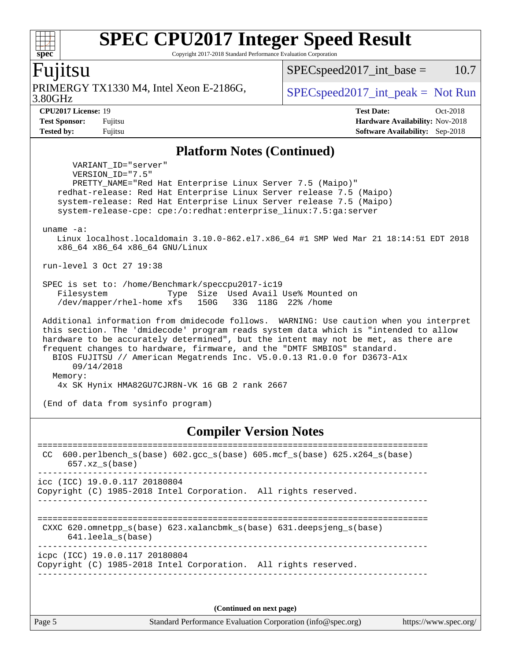Copyright 2017-2018 Standard Performance Evaluation Corporation

#### Fujitsu

3.80GHz PRIMERGY TX1330 M4, Intel Xeon E-2186G,  $\vert$  [SPECspeed2017\\_int\\_peak =](http://www.spec.org/auto/cpu2017/Docs/result-fields.html#SPECspeed2017intpeak) Not Run

 $SPEC speed2017\_int\_base = 10.7$ 

**[spec](http://www.spec.org/)**

 $+\ +$ 

**[CPU2017 License:](http://www.spec.org/auto/cpu2017/Docs/result-fields.html#CPU2017License)** 19 **[Test Date:](http://www.spec.org/auto/cpu2017/Docs/result-fields.html#TestDate)** Oct-2018 **[Test Sponsor:](http://www.spec.org/auto/cpu2017/Docs/result-fields.html#TestSponsor)** Fujitsu **[Hardware Availability:](http://www.spec.org/auto/cpu2017/Docs/result-fields.html#HardwareAvailability)** Nov-2018 **[Tested by:](http://www.spec.org/auto/cpu2017/Docs/result-fields.html#Testedby)** Fujitsu **[Software Availability:](http://www.spec.org/auto/cpu2017/Docs/result-fields.html#SoftwareAvailability)** Sep-2018

#### **[Platform Notes \(Continued\)](http://www.spec.org/auto/cpu2017/Docs/result-fields.html#PlatformNotes)**

 VARIANT\_ID="server" VERSION\_ID="7.5" PRETTY\_NAME="Red Hat Enterprise Linux Server 7.5 (Maipo)" redhat-release: Red Hat Enterprise Linux Server release 7.5 (Maipo) system-release: Red Hat Enterprise Linux Server release 7.5 (Maipo) system-release-cpe: cpe:/o:redhat:enterprise\_linux:7.5:ga:server uname -a: Linux localhost.localdomain 3.10.0-862.el7.x86\_64 #1 SMP Wed Mar 21 18:14:51 EDT 2018 x86\_64 x86\_64 x86\_64 GNU/Linux run-level 3 Oct 27 19:38 SPEC is set to: /home/Benchmark/speccpu2017-ic19 Filesystem Type Size Used Avail Use% Mounted on /dev/mapper/rhel-home xfs 150G 33G 118G 22% /home Additional information from dmidecode follows. WARNING: Use caution when you interpret this section. The 'dmidecode' program reads system data which is "intended to allow hardware to be accurately determined", but the intent may not be met, as there are frequent changes to hardware, firmware, and the "DMTF SMBIOS" standard. BIOS FUJITSU // American Megatrends Inc. V5.0.0.13 R1.0.0 for D3673-A1x 09/14/2018 Memory: 4x SK Hynix HMA82GU7CJR8N-VK 16 GB 2 rank 2667

(End of data from sysinfo program)

#### **[Compiler Version Notes](http://www.spec.org/auto/cpu2017/Docs/result-fields.html#CompilerVersionNotes)**

============================================================================== CC 600.perlbench\_s(base) 602.gcc\_s(base) 605.mcf\_s(base) 625.x264\_s(base) 657.xz\_s(base) ----------------------------------------------------------------------------- icc (ICC) 19.0.0.117 20180804 Copyright (C) 1985-2018 Intel Corporation. All rights reserved. ------------------------------------------------------------------------------ ============================================================================== CXXC 620.omnetpp\_s(base) 623.xalancbmk\_s(base) 631.deepsjeng\_s(base) 641.leela\_s(base) ----------------------------------------------------------------------------- icpc (ICC) 19.0.0.117 20180804 Copyright (C) 1985-2018 Intel Corporation. All rights reserved. ------------------------------------------------------------------------------

**(Continued on next page)**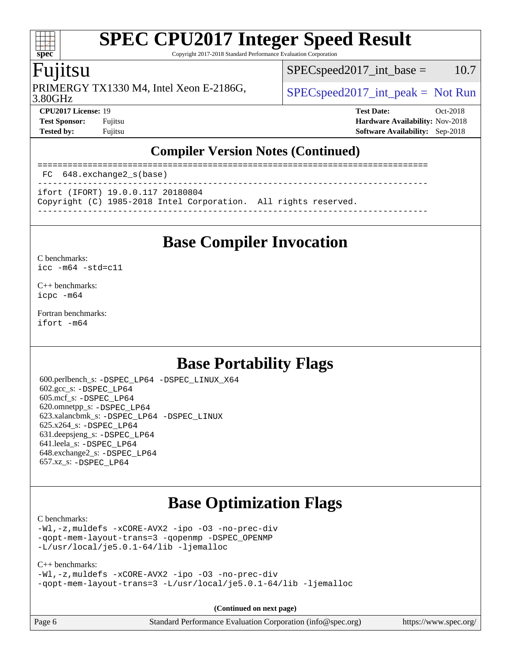Copyright 2017-2018 Standard Performance Evaluation Corporation

### Fujitsu

**[spec](http://www.spec.org/)**

 $+\ +$ 

PRIMERGY TX1330 M4, Intel Xeon E-2186G,  $\vert$  [SPECspeed2017\\_int\\_peak =](http://www.spec.org/auto/cpu2017/Docs/result-fields.html#SPECspeed2017intpeak) Not Run

 $SPEC speed2017\_int\_base = 10.7$ 

3.80GHz

**[CPU2017 License:](http://www.spec.org/auto/cpu2017/Docs/result-fields.html#CPU2017License)** 19 **[Test Date:](http://www.spec.org/auto/cpu2017/Docs/result-fields.html#TestDate)** Oct-2018 **[Test Sponsor:](http://www.spec.org/auto/cpu2017/Docs/result-fields.html#TestSponsor)** Fujitsu **[Hardware Availability:](http://www.spec.org/auto/cpu2017/Docs/result-fields.html#HardwareAvailability)** Nov-2018 **[Tested by:](http://www.spec.org/auto/cpu2017/Docs/result-fields.html#Testedby)** Fujitsu **[Software Availability:](http://www.spec.org/auto/cpu2017/Docs/result-fields.html#SoftwareAvailability)** Sep-2018

#### **[Compiler Version Notes \(Continued\)](http://www.spec.org/auto/cpu2017/Docs/result-fields.html#CompilerVersionNotes)**

============================================================================== FC 648.exchange2\_s(base) ------------------------------------------------------------------------------

ifort (IFORT) 19.0.0.117 20180804

Copyright (C) 1985-2018 Intel Corporation. All rights reserved.

------------------------------------------------------------------------------

### **[Base Compiler Invocation](http://www.spec.org/auto/cpu2017/Docs/result-fields.html#BaseCompilerInvocation)**

[C benchmarks](http://www.spec.org/auto/cpu2017/Docs/result-fields.html#Cbenchmarks):

[icc -m64 -std=c11](http://www.spec.org/cpu2017/results/res2018q4/cpu2017-20181029-09355.flags.html#user_CCbase_intel_icc_64bit_c11_33ee0cdaae7deeeab2a9725423ba97205ce30f63b9926c2519791662299b76a0318f32ddfffdc46587804de3178b4f9328c46fa7c2b0cd779d7a61945c91cd35)

[C++ benchmarks:](http://www.spec.org/auto/cpu2017/Docs/result-fields.html#CXXbenchmarks) [icpc -m64](http://www.spec.org/cpu2017/results/res2018q4/cpu2017-20181029-09355.flags.html#user_CXXbase_intel_icpc_64bit_4ecb2543ae3f1412ef961e0650ca070fec7b7afdcd6ed48761b84423119d1bf6bdf5cad15b44d48e7256388bc77273b966e5eb805aefd121eb22e9299b2ec9d9)

[Fortran benchmarks](http://www.spec.org/auto/cpu2017/Docs/result-fields.html#Fortranbenchmarks): [ifort -m64](http://www.spec.org/cpu2017/results/res2018q4/cpu2017-20181029-09355.flags.html#user_FCbase_intel_ifort_64bit_24f2bb282fbaeffd6157abe4f878425411749daecae9a33200eee2bee2fe76f3b89351d69a8130dd5949958ce389cf37ff59a95e7a40d588e8d3a57e0c3fd751)

### **[Base Portability Flags](http://www.spec.org/auto/cpu2017/Docs/result-fields.html#BasePortabilityFlags)**

 600.perlbench\_s: [-DSPEC\\_LP64](http://www.spec.org/cpu2017/results/res2018q4/cpu2017-20181029-09355.flags.html#b600.perlbench_s_basePORTABILITY_DSPEC_LP64) [-DSPEC\\_LINUX\\_X64](http://www.spec.org/cpu2017/results/res2018q4/cpu2017-20181029-09355.flags.html#b600.perlbench_s_baseCPORTABILITY_DSPEC_LINUX_X64) 602.gcc\_s: [-DSPEC\\_LP64](http://www.spec.org/cpu2017/results/res2018q4/cpu2017-20181029-09355.flags.html#suite_basePORTABILITY602_gcc_s_DSPEC_LP64) 605.mcf\_s: [-DSPEC\\_LP64](http://www.spec.org/cpu2017/results/res2018q4/cpu2017-20181029-09355.flags.html#suite_basePORTABILITY605_mcf_s_DSPEC_LP64) 620.omnetpp\_s: [-DSPEC\\_LP64](http://www.spec.org/cpu2017/results/res2018q4/cpu2017-20181029-09355.flags.html#suite_basePORTABILITY620_omnetpp_s_DSPEC_LP64) 623.xalancbmk\_s: [-DSPEC\\_LP64](http://www.spec.org/cpu2017/results/res2018q4/cpu2017-20181029-09355.flags.html#suite_basePORTABILITY623_xalancbmk_s_DSPEC_LP64) [-DSPEC\\_LINUX](http://www.spec.org/cpu2017/results/res2018q4/cpu2017-20181029-09355.flags.html#b623.xalancbmk_s_baseCXXPORTABILITY_DSPEC_LINUX) 625.x264\_s: [-DSPEC\\_LP64](http://www.spec.org/cpu2017/results/res2018q4/cpu2017-20181029-09355.flags.html#suite_basePORTABILITY625_x264_s_DSPEC_LP64) 631.deepsjeng\_s: [-DSPEC\\_LP64](http://www.spec.org/cpu2017/results/res2018q4/cpu2017-20181029-09355.flags.html#suite_basePORTABILITY631_deepsjeng_s_DSPEC_LP64) 641.leela\_s: [-DSPEC\\_LP64](http://www.spec.org/cpu2017/results/res2018q4/cpu2017-20181029-09355.flags.html#suite_basePORTABILITY641_leela_s_DSPEC_LP64) 648.exchange2\_s: [-DSPEC\\_LP64](http://www.spec.org/cpu2017/results/res2018q4/cpu2017-20181029-09355.flags.html#suite_basePORTABILITY648_exchange2_s_DSPEC_LP64) 657.xz\_s: [-DSPEC\\_LP64](http://www.spec.org/cpu2017/results/res2018q4/cpu2017-20181029-09355.flags.html#suite_basePORTABILITY657_xz_s_DSPEC_LP64)

### **[Base Optimization Flags](http://www.spec.org/auto/cpu2017/Docs/result-fields.html#BaseOptimizationFlags)**

[C benchmarks](http://www.spec.org/auto/cpu2017/Docs/result-fields.html#Cbenchmarks):

```
-Wl,-z,muldefs -xCORE-AVX2 -ipo -O3 -no-prec-div
-qopt-mem-layout-trans=3 -qopenmp -DSPEC_OPENMP
-L/usr/local/je5.0.1-64/lib -ljemalloc
```

```
C++ benchmarks: 
-Wl,-z,muldefs -xCORE-AVX2 -ipo -O3 -no-prec-div
-qopt-mem-layout-trans=3 -L/usr/local/je5.0.1-64/lib -ljemalloc
```
**(Continued on next page)**

Page 6 Standard Performance Evaluation Corporation [\(info@spec.org\)](mailto:info@spec.org) <https://www.spec.org/>